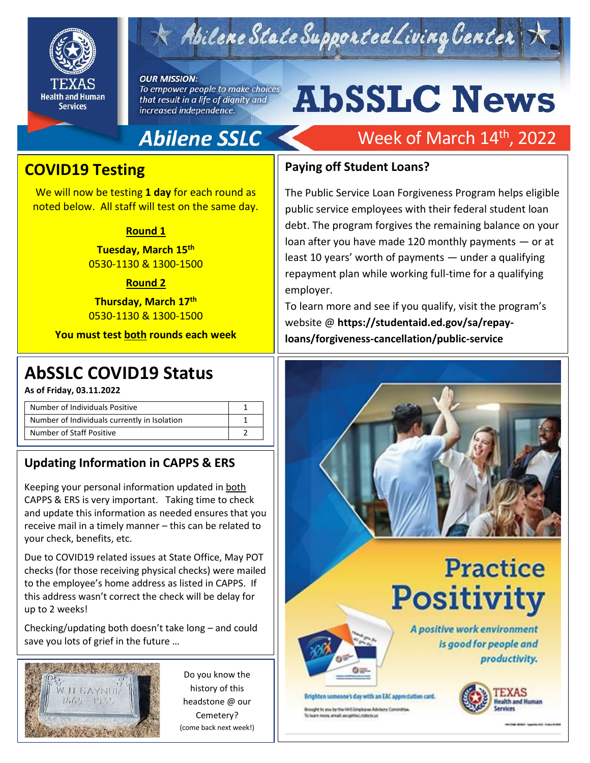

# Abilene State Supported Living Center

#### **OUR MISSION:**

To empower people to make choices that result in a life of dignity and increased independence.

# **AbSSLC News**

## **Abilene SSLC**

## Week of March 14<sup>th</sup>, 2022

### **COVID19 Testing**

We will now be testing **1 day** for each round as noted below. All staff will test on the same day.

#### **Round 1**

**Tuesday, March 15th** 0530-1130 & 1300-1500

#### **Round 2**

**Thursday, March 17th** 0530-1130 & 1300-1500

**You must test both rounds each week**

## 2019 **AbSSLC COVID19 Status**

**As of Friday, 03.11.2022**

| Number of Individuals Positive               |  |
|----------------------------------------------|--|
| Number of Individuals currently in Isolation |  |
| Number of Staff Positive                     |  |

#### **Updating Information in CAPPS & ERS**

Keeping your personal information updated in both CAPPS & ERS is very important. Taking time to check and update this information as needed ensures that you receive mail in a timely manner – this can be related to your check, benefits, etc.

Due to COVID19 related issues at State Office, May POT checks (for those receiving physical checks) were mailed to the employee's home address as listed in CAPPS. If this address wasn't correct the check will be delay for up to 2 weeks!

Checking/updating both doesn't take long – and could save you lots of grief in the future …



Do you know the history of this headstone @ our Cemetery? (come back next week!)

#### **Paying off Student Loans?**

The Public Service Loan Forgiveness Program helps eligible public service employees with their federal student loan debt. The program forgives the remaining balance on your loan after you have made 120 monthly payments — or at least 10 years' worth of payments — under a qualifying repayment plan while working full-time for a qualifying employer.

To learn more and see if you qualify, visit the program's website @ **https://studentaid.ed.gov/sa/repayloans/forgiveness-cancellation/public-service**



Brighten someone's day with an EAC appreciation card.

Brought to you by the HHS Employee Advisory Committee. To learn more email epophhoc state brust

# **Practice Positivity**

A positive work environment is good for people and productivity.